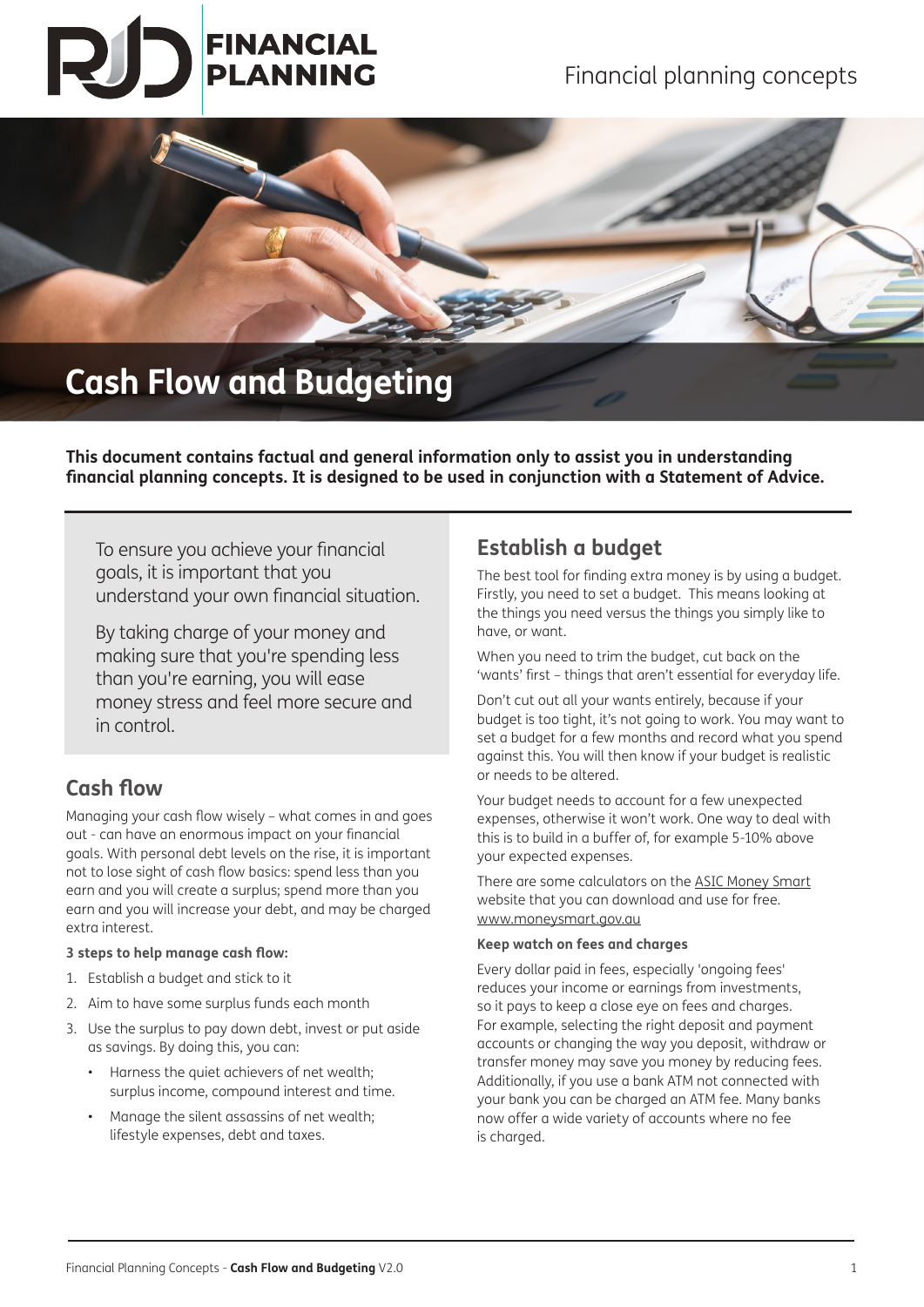# **FINANCIAL PLANNING**



## **Cash Flow and Budgeting**

**This document contains factual and general information only to assist you in understanding financial planning concepts. It is designed to be used in conjunction with a Statement of Advice.** 

To ensure you achieve your financial goals, it is important that you understand your own financial situation.

By taking charge of your money and making sure that you're spending less than you're earning, you will ease money stress and feel more secure and in control.

## **Cash flow**

Managing your cash flow wisely – what comes in and goes out - can have an enormous impact on your financial goals. With personal debt levels on the rise, it is important not to lose sight of cash flow basics: spend less than you earn and you will create a surplus; spend more than you earn and you will increase your debt, and may be charged extra interest.

## **3 steps to help manage cash flow:**

- 1. Establish a budget and stick to it
- 2. Aim to have some surplus funds each month
- 3. Use the surplus to pay down debt, invest or put aside as savings. By doing this, you can:
	- Harness the quiet achievers of net wealth; surplus income, compound interest and time.
	- Manage the silent assassins of net wealth; lifestyle expenses, debt and taxes.

## **Establish a budget**

The best tool for finding extra money is by using a budget. Firstly, you need to set a budget. This means looking at the things you need versus the things you simply like to have, or want.

When you need to trim the budget, cut back on the 'wants' first – things that aren't essential for everyday life.

Don't cut out all your wants entirely, because if your budget is too tight, it's not going to work. You may want to set a budget for a few months and record what you spend against this. You will then know if your budget is realistic or needs to be altered.

Your budget needs to account for a few unexpected expenses, otherwise it won't work. One way to deal with this is to build in a buffer of, for example 5-10% above your expected expenses.

There are some calculators on the ASIC Money Smart website that you can download and use for free. www.moneysmart.gov.au

### **Keep watch on fees and charges**

Every dollar paid in fees, especially 'ongoing fees' reduces your income or earnings from investments, so it pays to keep a close eye on fees and charges. For example, selecting the right deposit and payment accounts or changing the way you deposit, withdraw or transfer money may save you money by reducing fees. Additionally, if you use a bank ATM not connected with your bank you can be charged an ATM fee. Many banks now offer a wide variety of accounts where no fee is charged.